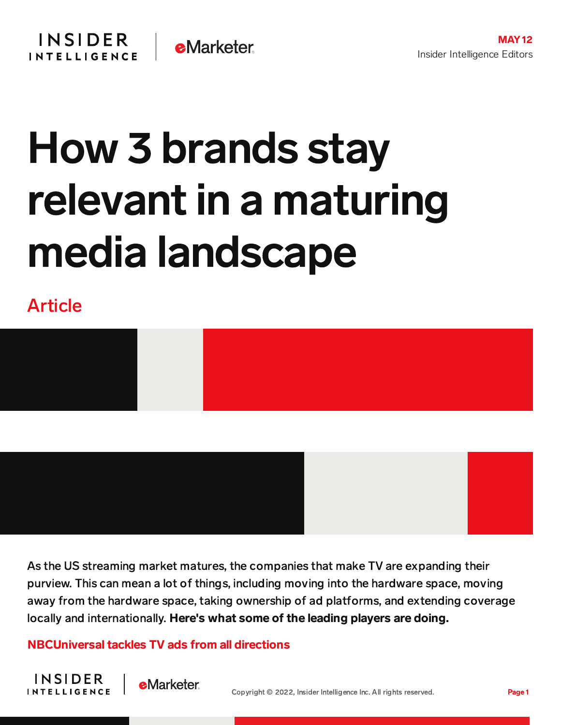## How 3 brands stay relevant in a maturing media landscape

Article

**INSIDER** 

**INTELLIGENCE** 



As the US streaming market matures, the companies that make TV are expanding their purview. This can mean a lot of things, including moving into the hardware space, moving away from the hardware space, taking ownership of ad platforms, and extending coverage locally and internationally. Here's what some of the leading players are doing.

NBCUniversal tackles TV ads from all directions

**e**Marketer